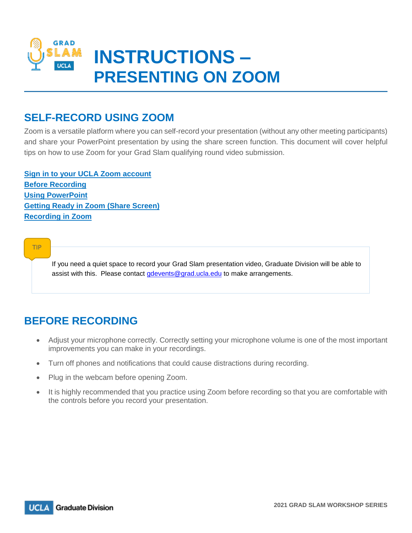

### **SELF-RECORD USING ZOOM**

Zoom is a versatile platform where you can self-record your presentation (without any other meeting participants) and share your PowerPoint presentation by using the share screen function. This document will cover helpful tips on how to use Zoom for your Grad Slam qualifying round video submission.

**[Sign in to your UCLA Zoom account](https://ucla.zoom.us/)  [Before Recording](#page-0-0) [Using PowerPoint](#page-0-1) [Getting Ready in Zoom](#page-1-0) (Share Screen) [Recording in Zoom](#page-3-0)**

TIP

If you need a quiet space to record your Grad Slam presentation video, Graduate Division will be able to assist with this. Please contact *gdevents@grad.ucla.edu* to make arrangements.

### <span id="page-0-0"></span>**BEFORE RECORDING**

- Adjust your microphone correctly. Correctly setting your microphone volume is one of the most important improvements you can make in your recordings.
- Turn off phones and notifications that could cause distractions during recording.
- Plug in the webcam before opening Zoom.
- <span id="page-0-1"></span> It is highly recommended that you practice using Zoom before recording so that you are comfortable with the controls before you record your presentation.

**UCLA Graduate Division**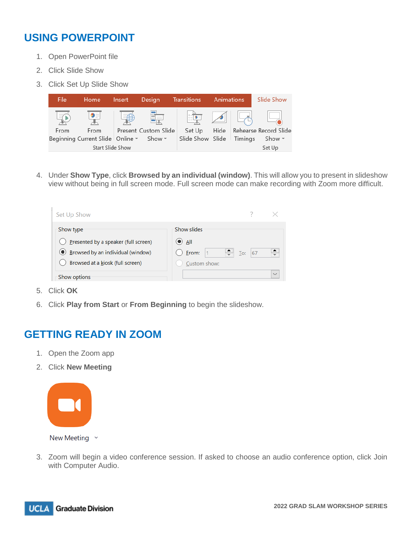# **USING POWERPOINT**

- 1. Open PowerPoint file
- 2. Click Slide Show
- 3. Click Set Up Slide Show



4. Under **Show Type**, click **Browsed by an individual (window)**. This will allow you to present in slideshow view without being in full screen mode. Full screen mode can make recording with Zoom more difficult.

| Set Up Show                                |                                                          |  |
|--------------------------------------------|----------------------------------------------------------|--|
| Show type                                  | Show slides                                              |  |
| Presented by a speaker (full screen)       | $\bullet$ ail                                            |  |
| <b>E</b> Browsed by an individual (window) | ) Erom:<br>67<br>$\Gamma$ o:<br>$\overline{\phantom{a}}$ |  |
| Browsed at a kiosk (full screen)           | Custom show:                                             |  |
| Show options                               | $\checkmark$                                             |  |

- 5. Click **OK**
- 6. Click **Play from Start** or **From Beginning** to begin the slideshow.

### <span id="page-1-0"></span>**GETTING READY IN ZOOM**

- 1. Open the Zoom app
- 2. Click **New Meeting**



New Meeting  $\sim$ 

3. Zoom will begin a video conference session. If asked to choose an audio conference option, click Join with Computer Audio.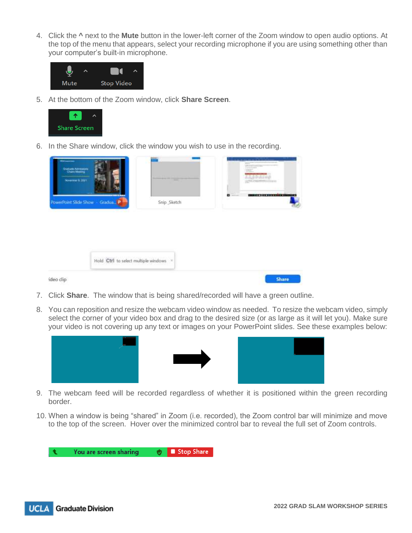4. Click the **^** next to the **Mute** button in the lower-left corner of the Zoom window to open audio options. At the top of the menu that appears, select your recording microphone if you are using something other than your computer's built-in microphone.



5. At the bottom of the Zoom window, click **Share Screen**.



6. In the Share window, click the window you wish to use in the recording.

| <b>Charles Admissions</b><br>Charl Meeting<br>November 9, 2021 | <b>Second Control Control</b><br>$\frac{1}{2}$ | --<br>$\pm$<br>of any of recognize<br>ESC.<br><b>LLISMI</b> |
|----------------------------------------------------------------|------------------------------------------------|-------------------------------------------------------------|
| <br>PowerPoint Slide Show Gradua., P                           | Snip_Sketch                                    | $\blacksquare$<br><b>CONTRACTORS</b>                        |
|                                                                |                                                |                                                             |
|                                                                |                                                |                                                             |
|                                                                |                                                |                                                             |

- 7. Click **Share**. The window that is being shared/recorded will have a green outline.
- 8. You can reposition and resize the webcam video window as needed. To resize the webcam video, simply select the corner of your video box and drag to the desired size (or as large as it will let you). Make sure your video is not covering up any text or images on your PowerPoint slides. See these examples below:



- 9. The webcam feed will be recorded regardless of whether it is positioned within the green recording border.
- 10. When a window is being "shared" in Zoom (i.e. recorded), the Zoom control bar will minimize and move to the top of the screen. Hover over the minimized control bar to reveal the full set of Zoom controls.

You are screen sharing **↓** Stop Share ŧ